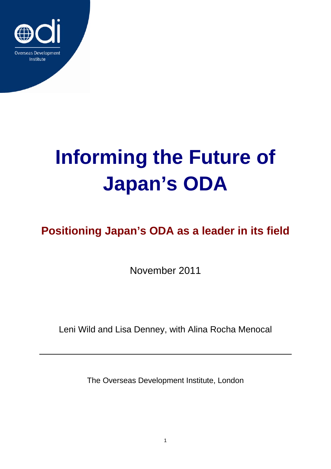

# **Informing the Future of Japan's ODA**

## **Positioning Japan's ODA as a leader in its field**

November 2011

Leni Wild and Lisa Denney, with Alina Rocha Menocal

The Overseas Development Institute, London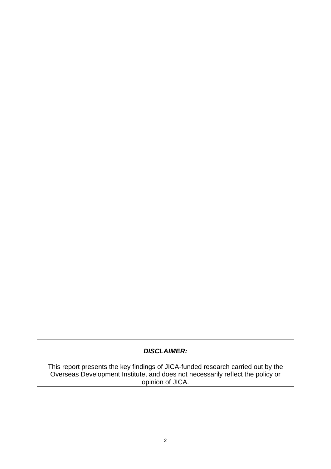#### *DISCLAIMER:*

This report presents the key findings of JICA-funded research carried out by the Overseas Development Institute, and does not necessarily reflect the policy or opinion of JICA.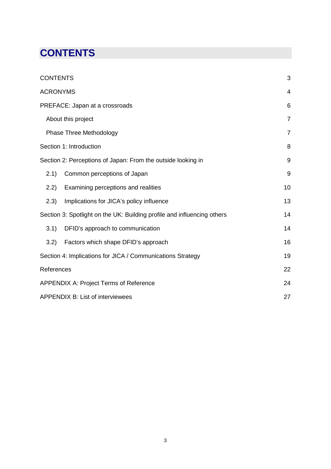## <span id="page-2-0"></span>**CONTENTS**

| <b>CONTENTS</b>                                                         |                                          | 3              |
|-------------------------------------------------------------------------|------------------------------------------|----------------|
| <b>ACRONYMS</b>                                                         |                                          | $\overline{4}$ |
| PREFACE: Japan at a crossroads                                          |                                          |                |
| About this project                                                      |                                          |                |
| Phase Three Methodology                                                 | $\overline{7}$                           |                |
| Section 1: Introduction                                                 |                                          |                |
| Section 2: Perceptions of Japan: From the outside looking in            |                                          |                |
| (2.1)                                                                   | Common perceptions of Japan              | 9              |
| 2.2)                                                                    | Examining perceptions and realities      | 10             |
| (2.3)                                                                   | Implications for JICA's policy influence | 13             |
| Section 3: Spotlight on the UK: Building profile and influencing others |                                          |                |
| 3.1)                                                                    | DFID's approach to communication         | 14             |
| 3.2)                                                                    | Factors which shape DFID's approach      | 16             |
| Section 4: Implications for JICA / Communications Strategy              | 19                                       |                |
| References                                                              |                                          |                |
| APPENDIX A: Project Terms of Reference                                  |                                          |                |
| <b>APPENDIX B: List of interviewees</b>                                 |                                          |                |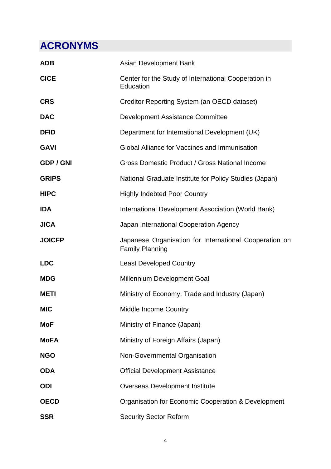## <span id="page-3-0"></span>**ACRONYMS**

| <b>ADB</b>       | Asian Development Bank                                                           |
|------------------|----------------------------------------------------------------------------------|
| <b>CICE</b>      | Center for the Study of International Cooperation in<br>Education                |
| <b>CRS</b>       | Creditor Reporting System (an OECD dataset)                                      |
| <b>DAC</b>       | <b>Development Assistance Committee</b>                                          |
| <b>DFID</b>      | Department for International Development (UK)                                    |
| <b>GAVI</b>      | Global Alliance for Vaccines and Immunisation                                    |
| <b>GDP / GNI</b> | Gross Domestic Product / Gross National Income                                   |
| <b>GRIPS</b>     | National Graduate Institute for Policy Studies (Japan)                           |
| <b>HIPC</b>      | <b>Highly Indebted Poor Country</b>                                              |
| <b>IDA</b>       | International Development Association (World Bank)                               |
| <b>JICA</b>      | Japan International Cooperation Agency                                           |
| <b>JOICFP</b>    | Japanese Organisation for International Cooperation on<br><b>Family Planning</b> |
| <b>LDC</b>       | <b>Least Developed Country</b>                                                   |
| <b>MDG</b>       | <b>Millennium Development Goal</b>                                               |
| <b>METI</b>      | Ministry of Economy, Trade and Industry (Japan)                                  |
| <b>MIC</b>       | <b>Middle Income Country</b>                                                     |
| <b>MoF</b>       | Ministry of Finance (Japan)                                                      |
| <b>MoFA</b>      | Ministry of Foreign Affairs (Japan)                                              |
| <b>NGO</b>       | Non-Governmental Organisation                                                    |
| <b>ODA</b>       | <b>Official Development Assistance</b>                                           |
| <b>ODI</b>       | <b>Overseas Development Institute</b>                                            |
| <b>OECD</b>      | Organisation for Economic Cooperation & Development                              |
| <b>SSR</b>       | <b>Security Sector Reform</b>                                                    |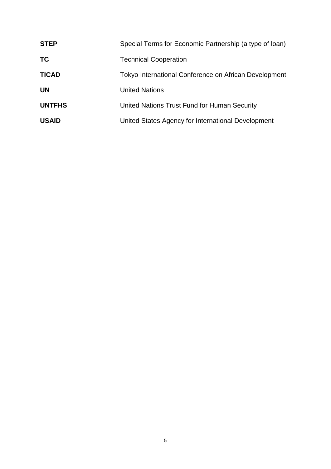| <b>STEP</b>   | Special Terms for Economic Partnership (a type of loan) |
|---------------|---------------------------------------------------------|
| <b>TC</b>     | <b>Technical Cooperation</b>                            |
| <b>TICAD</b>  | Tokyo International Conference on African Development   |
| <b>UN</b>     | <b>United Nations</b>                                   |
| <b>UNTFHS</b> | United Nations Trust Fund for Human Security            |
| <b>USAID</b>  | United States Agency for International Development      |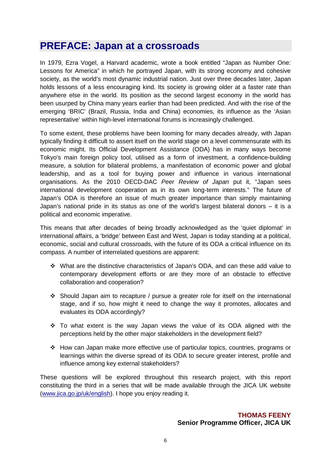### <span id="page-5-0"></span>**PREFACE: Japan at a crossroads**

In 1979, Ezra Vogel, a Harvard academic, wrote a book entitled "Japan as Number One: Lessons for America" in which he portrayed Japan, with its strong economy and cohesive society, as the world's most dynamic industrial nation. Just over three decades later, Japan holds lessons of a less encouraging kind. Its society is growing older at a faster rate than anywhere else in the world. Its position as the second largest economy in the world has been usurped by China many years earlier than had been predicted. And with the rise of the emerging 'BRIC' (Brazil, Russia, India and China) economies, its influence as the 'Asian representative' within high-level international forums is increasingly challenged.

To some extent, these problems have been looming for many decades already, with Japan typically finding it difficult to assert itself on the world stage on a level commensurate with its economic might. Its Official Development Assistance (ODA) has in many ways become Tokyo's main foreign policy tool, utilised as a form of investment, a confidence-building measure, a solution for bilateral problems, a manifestation of economic power and global leadership, and as a tool for buying power and influence in various international organisations. As the 2010 OECD-DAC *Peer Review of Japan* put it, "Japan sees international development cooperation as in its own long-term interests." The future of Japan's ODA is therefore an issue of much greater importance than simply maintaining Japan's national pride in its status as one of the world's largest bilateral donors – it is a political and economic imperative.

This means that after decades of being broadly acknowledged as the 'quiet diplomat' in international affairs, a 'bridge' between East and West, Japan is today standing at a political, economic, social and cultural crossroads, with the future of its ODA a critical influence on its compass. A number of interrelated questions are apparent:

- What are the distinctive characteristics of Japan's ODA, and can these add value to contemporary development efforts or are they more of an obstacle to effective collaboration and cooperation?
- Should Japan aim to recapture / pursue a greater role for itself on the international stage, and if so, how might it need to change the way it promotes, allocates and evaluates its ODA accordingly?
- \* To what extent is the way Japan views the value of its ODA aligned with the perceptions held by the other major stakeholders in the development field?
- How can Japan make more effective use of particular topics, countries, programs or learnings within the diverse spread of its ODA to secure greater interest, profile and influence among key external stakeholders?

These questions will be explored throughout this research project, with this report constituting the third in a series that will be made available through the JICA UK website [\(www.jica.go.jp/uk/english\)](http://www.jica.go.jp/uk/english). I hope you enjoy reading it.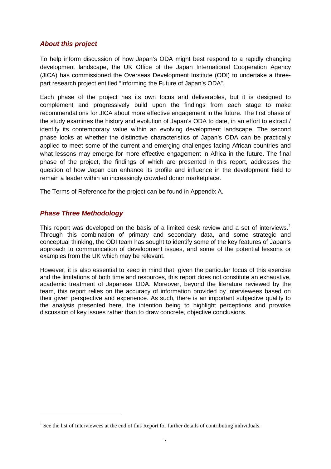#### <span id="page-6-0"></span>*About this project*

To help inform discussion of how Japan's ODA might best respond to a rapidly changing development landscape, the UK Office of the Japan International Cooperation Agency (JICA) has commissioned the Overseas Development Institute (ODI) to undertake a threepart research project entitled "Informing the Future of Japan's ODA".

Each phase of the project has its own focus and deliverables, but it is designed to complement and progressively build upon the findings from each stage to make recommendations for JICA about more effective engagement in the future. The first phase of the study examines the history and evolution of Japan's ODA to date, in an effort to extract / identify its contemporary value within an evolving development landscape. The second phase looks at whether the distinctive characteristics of Japan's ODA can be practically applied to meet some of the current and emerging challenges facing African countries and what lessons may emerge for more effective engagement in Africa in the future. The final phase of the project, the findings of which are presented in this report, addresses the question of how Japan can enhance its profile and influence in the development field to remain a leader within an increasingly crowded donor marketplace.

The Terms of Reference for the project can be found in Appendix A.

#### <span id="page-6-1"></span>*Phase Three Methodology*

 $\overline{a}$ 

This report was developed on the basis of a limited desk review and a set of interviews.<sup>[1](#page-6-2)</sup> Through this combination of primary and secondary data, and some strategic and conceptual thinking, the ODI team has sought to identify some of the key features of Japan's approach to communication of development issues, and some of the potential lessons or examples from the UK which may be relevant.

However, it is also essential to keep in mind that, given the particular focus of this exercise and the limitations of both time and resources, this report does not constitute an exhaustive, academic treatment of Japanese ODA. Moreover, beyond the literature reviewed by the team, this report relies on the accuracy of information provided by interviewees based on their given perspective and experience. As such, there is an important subjective quality to the analysis presented here, the intention being to highlight perceptions and provoke discussion of key issues rather than to draw concrete, objective conclusions.

<span id="page-6-2"></span><sup>&</sup>lt;sup>1</sup> See the list of Interviewees at the end of this Report for further details of contributing individuals.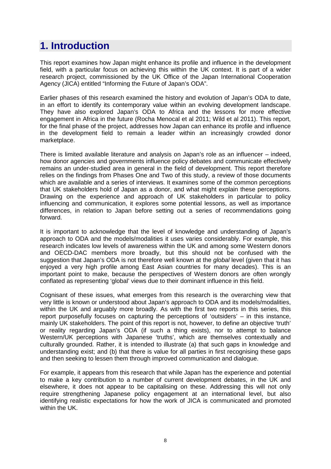## <span id="page-7-0"></span>**1. Introduction**

This report examines how Japan might enhance its profile and influence in the development field, with a particular focus on achieving this within the UK context. It is part of a wider research project, commissioned by the UK Office of the Japan International Cooperation Agency (JICA) entitled "Informing the Future of Japan's ODA".

Earlier phases of this research examined the history and evolution of Japan's ODA to date, in an effort to identify its contemporary value within an evolving development landscape. They have also explored Japan's ODA to Africa and the lessons for more effective engagement in Africa in the future (Rocha Menocal et al 2011; Wild et al 2011). This report, for the final phase of the project, addresses how Japan can enhance its profile and influence in the development field to remain a leader within an increasingly crowded donor marketplace.

There is limited available literature and analysis on Japan's role as an influencer – indeed, how donor agencies and governments influence policy debates and communicate effectively remains an under-studied area in general in the field of development. This report therefore relies on the findings from Phases One and Two of this study, a review of those documents which are available and a series of interviews. It examines some of the common perceptions that UK stakeholders hold of Japan as a donor, and what might explain these perceptions. Drawing on the experience and approach of UK stakeholders in particular to policy influencing and communication, it explores some potential lessons, as well as importance differences, in relation to Japan before setting out a series of recommendations going forward.

It is important to acknowledge that the level of knowledge and understanding of Japan's approach to ODA and the models/modalities it uses varies considerably. For example, this research indicates low levels of awareness within the UK and among some Western donors and OECD-DAC members more broadly, but this should not be confused with the suggestion that Japan's ODA is not therefore well known at the *global* level (given that it has enjoyed a very high profile among East Asian countries for many decades). This is an important point to make, because the perspectives of Western donors are often wrongly conflated as representing 'global' views due to their dominant influence in this field.

Cognisant of these issues, what emerges from this research is the overarching view that very little is known or understood about Japan's approach to ODA and its models/modalities, within the UK and arguably more broadly. As with the first two reports in this series, this report purposefully focuses on capturing the perceptions of 'outsiders' – in this instance, mainly UK stakeholders. The point of this report is not, however, to define an objective 'truth' or reality regarding Japan's ODA (if such a thing exists), nor to attempt to balance Western/UK perceptions with Japanese 'truths', which are themselves contextually and culturally grounded. Rather, it is intended to illustrate (a) that such gaps in knowledge and understanding exist; and (b) that there is value for all parties in first recognising these gaps and then seeking to lessen them through improved communication and dialogue.

For example, it appears from this research that while Japan has the experience and potential to make a key contribution to a number of current development debates, in the UK and elsewhere, it does not appear to be capitalising on these. Addressing this will not only require strengthening Japanese policy engagement at an international level, but also identifying realistic expectations for how the work of JICA is communicated and promoted within the UK.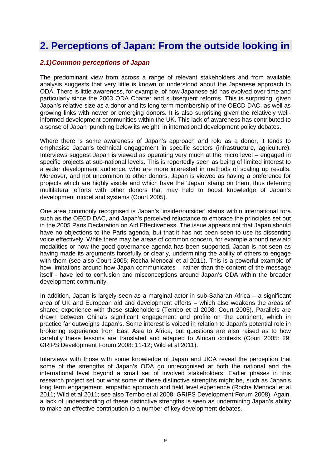## <span id="page-8-0"></span>**2. Perceptions of Japan: From the outside looking in**

#### <span id="page-8-1"></span>*2.1)Common perceptions of Japan*

The predominant view from across a range of relevant stakeholders and from available analysis suggests that very little is known or understood about the Japanese approach to ODA. There is little awareness, for example, of how Japanese aid has evolved over time and particularly since the 2003 ODA Charter and subsequent reforms. This is surprising, given Japan's relative size as a donor and its long term membership of the OECD DAC, as well as growing links with newer or emerging donors. It is also surprising given the relatively wellinformed development communities within the UK. This lack of awareness has contributed to a sense of Japan 'punching below its weight' in international development policy debates.

Where there is some awareness of Japan's approach and role as a donor, it tends to emphasise Japan's technical engagement in specific sectors (infrastructure, agriculture). Interviews suggest Japan is viewed as operating very much at the micro level – engaged in specific projects at sub-national levels. This is reportedly seen as being of limited interest to a wider development audience, who are more interested in methods of scaling up results. Moreover, and not uncommon to other donors, Japan is viewed as having a preference for projects which are highly visible and which have the 'Japan' stamp on them, thus deterring multilateral efforts with other donors that may help to boost knowledge of Japan's development model and systems (Court 2005).

One area commonly recognised is Japan's 'insider/outsider' status within international fora such as the OECD DAC, and Japan's perceived reluctance to embrace the principles set out in the 2005 Paris Declaration on Aid Effectiveness. The issue appears not that Japan should have no objections to the Paris agenda, but that it has not been seen to use its dissenting voice effectively. While there may be areas of common concern, for example around new aid modalities or how the good governance agenda has been supported, Japan is not seen as having made its arguments forcefully or clearly, undermining the ability of others to engage with them (see also Court 2005; Rocha Menocal et al 2011). This is a powerful example of how limitations around how Japan communicates – rather than the content of the message itself - have led to confusion and misconceptions around Japan's ODA within the broader development community.

In addition, Japan is largely seen as a marginal actor in sub-Saharan Africa – a significant area of UK and European aid and development efforts – which also weakens the areas of shared experience with these stakeholders (Tembo et al 2008; Court 2005). Parallels are drawn between China's significant engagement and profile on the continent, which in practice far outweighs Japan's. Some interest is voiced in relation to Japan's potential role in brokering experience from East Asia to Africa, but questions are also raised as to how carefully these lessons are translated and adapted to African contexts (Court 2005: 29; GRIPS Development Forum 2008: 11-12; Wild et al 2011).

Interviews with those with some knowledge of Japan and JICA reveal the perception that some of the strengths of Japan's ODA go unrecognised at both the national and the international level beyond a small set of involved stakeholders. Earlier phases in this research project set out what some of these distinctive strengths might be, such as Japan's long term engagement, empathic approach and field level experience (Rocha Menocal et al 2011; Wild et al 2011; see also Tembo et al 2008; GRIPS Development Forum 2008). Again, a lack of understanding of these distinctive strengths is seen as undermining Japan's ability to make an effective contribution to a number of key development debates.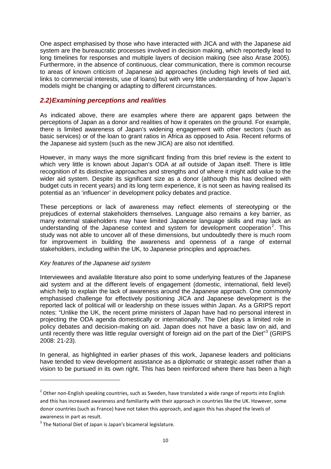One aspect emphasised by those who have interacted with JICA and with the Japanese aid system are the bureaucratic processes involved in decision making, which reportedly lead to long timelines for responses and multiple layers of decision making (see also Arase 2005). Furthermore, in the absence of continuous, clear communication, there is common recourse to areas of known criticism of Japanese aid approaches (including high levels of tied aid, links to commercial interests, use of loans) but with very little understanding of how Japan's models might be changing or adapting to different circumstances.

#### <span id="page-9-0"></span>*2.2)Examining perceptions and realities*

As indicated above, there are examples where there are apparent gaps between the perceptions of Japan as a donor and realities of how it operates on the ground. For example, there is limited awareness of Japan's widening engagement with other sectors (such as basic services) or of the loan to grant ratios in Africa as opposed to Asia. Recent reforms of the Japanese aid system (such as the new JICA) are also not identified.

However, in many ways the more significant finding from this brief review is the extent to which very little is known about Japan's ODA *at all* outside of Japan itself. There is little recognition of its distinctive approaches and strengths and of where it might add value to the wider aid system. Despite its significant size as a donor (although this has declined with budget cuts in recent years) and its long term experience, it is not seen as having realised its potential as an 'influencer' in development policy debates and practice.

These perceptions or lack of awareness may reflect elements of stereotyping or the prejudices of external stakeholders themselves. Language also remains a key barrier, as many external stakeholders may have limited Japanese language skills and may lack an understanding of the Japanese context and system for development cooperation<sup>[2](#page-9-1)</sup>. This study was not able to uncover all of these dimensions, but undoubtedly there is much room for improvement in building the awareness and openness of a range of external stakeholders, including within the UK, to Japanese principles and approaches.

#### *Key features of the Japanese aid system*

Interviewees and available literature also point to some underlying features of the Japanese aid system and at the different levels of engagement (domestic, international, field level) which help to explain the lack of awareness around the Japanese approach. One commonly emphasised challenge for effectively positioning JICA and Japanese development is the reported lack of political will or leadership on these issues within Japan. As a GRIPS report notes: "Unlike the UK, the recent prime ministers of Japan have had no personal interest in projecting the ODA agenda domestically or internationally. The Diet plays a limited role in policy debates and decision-making on aid. Japan does not have a basic law on aid, and until recently there was little regular oversight of foreign aid on the part of the Diet<sup>"[3](#page-9-2)</sup> (GRIPS 2008: 21-23).

In general, as highlighted in earlier phases of this work, Japanese leaders and politicians have tended to view development assistance as a diplomatic or strategic asset rather than a vision to be pursued in its own right. This has been reinforced where there has been a high

**.** 

<span id="page-9-1"></span><sup>&</sup>lt;sup>2</sup> Other non-English speaking countries, such as Sweden, have translated a wide range of reports into English and this has increased awareness and familiarity with their approach in countries like the UK. However, some donor countries (such as France) have not taken this approach, and again this has shaped the levels of awareness in part as result.

<span id="page-9-2"></span> $3$  The National Diet of Japan is Japan's bicameral legislature.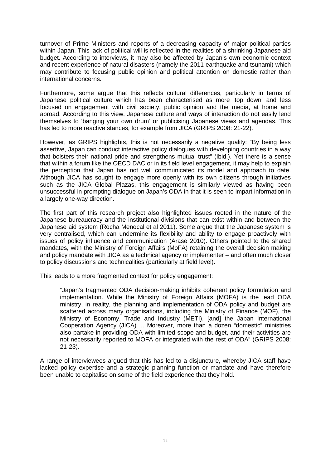turnover of Prime Ministers and reports of a decreasing capacity of major political parties within Japan. This lack of political will is reflected in the realities of a shrinking Japanese aid budget. According to interviews, it may also be affected by Japan's own economic context and recent experience of natural disasters (namely the 2011 earthquake and tsunami) which may contribute to focusing public opinion and political attention on domestic rather than international concerns.

Furthermore, some argue that this reflects cultural differences, particularly in terms of Japanese political culture which has been characterised as more 'top down' and less focused on engagement with civil society, public opinion and the media, at home and abroad. According to this view, Japanese culture and ways of interaction do not easily lend themselves to 'banging your own drum' or publicising Japanese views and agendas. This has led to more reactive stances, for example from JICA (GRIPS 2008: 21-22).

However, as GRIPS highlights, this is not necessarily a negative quality: "By being less assertive, Japan can conduct interactive policy dialogues with developing countries in a way that bolsters their national pride and strengthens mutual trust" (Ibid.). Yet there is a sense that within a forum like the OECD DAC or in its field level engagement, it may help to explain the perception that Japan has not well communicated its model and approach to date. Although JICA has sought to engage more openly with its own citizens through initiatives such as the JICA Global Plazas, this engagement is similarly viewed as having been unsuccessful in prompting dialogue on Japan's ODA in that it is seen to impart information in a largely one-way direction.

The first part of this research project also highlighted issues rooted in the nature of the Japanese bureaucracy and the institutional divisions that can exist within and between the Japanese aid system (Rocha Menocal et al 2011). Some argue that the Japanese system is very centralised, which can undermine its flexibility and ability to engage proactively with issues of policy influence and communication (Arase 2010). Others pointed to the shared mandates, with the Ministry of Foreign Affairs (MoFA) retaining the overall decision making and policy mandate with JICA as a technical agency or implementer – and often much closer to policy discussions and technicalities (particularly at field level).

This leads to a more fragmented context for policy engagement:

"Japan's fragmented ODA decision-making inhibits coherent policy formulation and implementation. While the Ministry of Foreign Affairs (MOFA) is the lead ODA ministry, in reality, the planning and implementation of ODA policy and budget are scattered across many organisations, including the Ministry of Finance (MOF), the Ministry of Economy, Trade and Industry (METI), [and] the Japan International Cooperation Agency (JICA) ... Moreover, more than a dozen "domestic" ministries also partake in providing ODA with limited scope and budget, and their activities are not necessarily reported to MOFA or integrated with the rest of ODA" (GRIPS 2008: 21-23).

A range of interviewees argued that this has led to a disjuncture, whereby JICA staff have lacked policy expertise and a strategic planning function or mandate and have therefore been unable to capitalise on some of the field experience that they hold.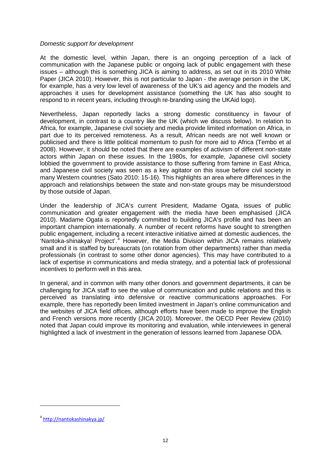#### *Domestic support for development*

At the domestic level, within Japan, there is an ongoing perception of a lack of communication with the Japanese public or ongoing lack of public engagement with these issues – although this is something JICA is aiming to address, as set out in its 2010 White Paper (JICA 2010). However, this is not particular to Japan - the average person in the UK, for example, has a very low level of awareness of the UK's aid agency and the models and approaches it uses for development assistance (something the UK has also sought to respond to in recent years, including through re-branding using the UKAid logo).

Nevertheless, Japan reportedly lacks a strong domestic constituency in favour of development, in contrast to a country like the UK (which we discuss below). In relation to Africa, for example, Japanese civil society and media provide limited information on Africa, in part due to its perceived remoteness. As a result, African needs are not well known or publicised and there is little political momentum to push for more aid to Africa (Tembo et al 2008). However, it should be noted that there are examples of activism of different non-state actors within Japan on these issues. In the 1980s, for example, Japanese civil society lobbied the government to provide assistance to those suffering from famine in East Africa, and Japanese civil society was seen as a key agitator on this issue before civil society in many Western countries (Sato 2010: 15-16). This highlights an area where differences in the approach and relationships between the state and non-state groups may be misunderstood by those outside of Japan.

Under the leadership of JICA's current President, Madame Ogata, issues of public communication and greater engagement with the media have been emphasised (JICA 2010). Madame Ogata is reportedly committed to building JICA's profile and has been an important champion internationally. A number of recent reforms have sought to strengthen public engagement, including a recent interactive initiative aimed at domestic audiences, the 'Nantoka-shinakya! Project'.[4](#page-11-0) However, the Media Division within JICA remains relatively small and it is staffed by bureaucrats (on rotation from other departments) rather than media professionals (in contrast to some other donor agencies). This may have contributed to a lack of expertise in communications and media strategy, and a potential lack of professional incentives to perform well in this area.

In general, and in common with many other donors and government departments, it can be challenging for JICA staff to see the value of communication and public relations and this is perceived as translating into defensive or reactive communications approaches. For example, there has reportedly been limited investment in Japan's online communication and the websites of JICA field offices, although efforts have been made to improve the English and French versions more recently (JICA 2010). Moreover, the OECD Peer Review (2010) noted that Japan could improve its monitoring and evaluation, while interviewees in general highlighted a lack of investment in the generation of lessons learned from Japanese ODA.

**.** 

<span id="page-11-0"></span><sup>4</sup> <http://nantokashinakya.jp/>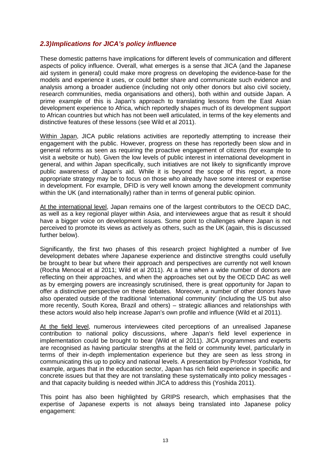#### <span id="page-12-0"></span>*2.3)Implications for JICA's policy influence*

These domestic patterns have implications for different levels of communication and different aspects of policy influence. Overall, what emerges is a sense that JICA (and the Japanese aid system in general) could make more progress on developing the evidence-base for the models and experience it uses, or could better share and communicate such evidence and analysis among a broader audience (including not only other donors but also civil society, research communities, media organisations and others), both within and outside Japan. A prime example of this is Japan's approach to translating lessons from the East Asian development experience to Africa, which reportedly shapes much of its development support to African countries but which has not been well articulated, in terms of the key elements and distinctive features of these lessons (see Wild et al 2011).

Within Japan, JICA public relations activities are reportedly attempting to increase their engagement with the public. However, progress on these has reportedly been slow and in general reforms as seen as requiring the proactive engagement of citizens (for example to visit a website or hub). Given the low levels of public interest in international development in general, and within Japan specifically, such initiatives are not likely to significantly improve public awareness of Japan's aid. While it is beyond the scope of this report, a more appropriate strategy may be to focus on those who already have some interest or expertise in development. For example, DFID is very well known among the development community within the UK (and internationally) rather than in terms of general public opinion.

At the international level, Japan remains one of the largest contributors to the OECD DAC, as well as a key regional player within Asia, and interviewees argue that as result it should have a bigger voice on development issues. Some point to challenges where Japan is not perceived to promote its views as actively as others, such as the UK (again, this is discussed further below).

Significantly, the first two phases of this research project highlighted a number of live development debates where Japanese experience and distinctive strengths could usefully be brought to bear but where their approach and perspectives are currently not well known (Rocha Menocal et al 2011; Wild et al 2011). At a time when a wide number of donors are reflecting on their approaches, and when the approaches set out by the OECD DAC as well as by emerging powers are increasingly scrutinised, there is great opportunity for Japan to offer a distinctive perspective on these debates. Moreover, a number of other donors have also operated outside of the traditional 'international community' (including the US but also more recently, South Korea, Brazil and others) – strategic alliances and relationships with these actors would also help increase Japan's own profile and influence (Wild et al 2011).

At the field level, numerous interviewees cited perceptions of an unrealised Japanese contribution to national policy discussions, where Japan's field level experience in implementation could be brought to bear (Wild et al 2011). JICA programmes and experts are recognised as having particular strengths at the field or community level, particularly in terms of their in-depth implementation experience but they are seen as less strong in communicating this up to policy and national levels. A presentation by Professor Yoshida, for example, argues that in the education sector, Japan has rich field experience in specific and concrete issues but that they are not translating these systematically into policy messages and that capacity building is needed within JICA to address this (Yoshida 2011).

This point has also been highlighted by GRIPS research, which emphasises that the expertise of Japanese experts is not always being translated into Japanese policy engagement: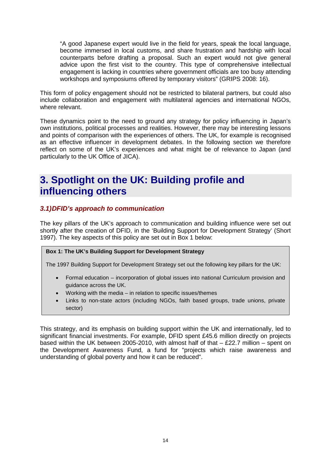"A good Japanese expert would live in the field for years, speak the local language, become immersed in local customs, and share frustration and hardship with local counterparts before drafting a proposal. Such an expert would not give general advice upon the first visit to the country. This type of comprehensive intellectual engagement is lacking in countries where government officials are too busy attending workshops and symposiums offered by temporary visitors" (GRIPS 2008: 16).

This form of policy engagement should not be restricted to bilateral partners, but could also include collaboration and engagement with multilateral agencies and international NGOs, where relevant.

These dynamics point to the need to ground any strategy for policy influencing in Japan's own institutions, political processes and realities. However, there may be interesting lessons and points of comparison with the experiences of others. The UK, for example is recognised as an effective influencer in development debates. In the following section we therefore reflect on some of the UK's experiences and what might be of relevance to Japan (and particularly to the UK Office of JICA).

## <span id="page-13-0"></span>**3. Spotlight on the UK: Building profile and influencing others**

#### <span id="page-13-1"></span>*3.1)DFID's approach to communication*

The key pillars of the UK's approach to communication and building influence were set out shortly after the creation of DFID, in the 'Building Support for Development Strategy' (Short 1997). The key aspects of this policy are set out in Box 1 below:

#### **Box 1: The UK's Building Support for Development Strategy**

The 1997 Building Support for Development Strategy set out the following key pillars for the UK:

- Formal education incorporation of global issues into national Curriculum provision and guidance across the UK.
- Working with the media  $-$  in relation to specific issues/themes
- Links to non-state actors (including NGOs, faith based groups, trade unions, private sector)

This strategy, and its emphasis on building support within the UK and internationally, led to significant financial investments. For example, DFID spent £45.6 million directly on projects based within the UK between 2005-2010, with almost half of that  $-$  £22.7 million  $-$  spent on the Development Awareness Fund, a fund for "projects which raise awareness and understanding of global poverty and how it can be reduced".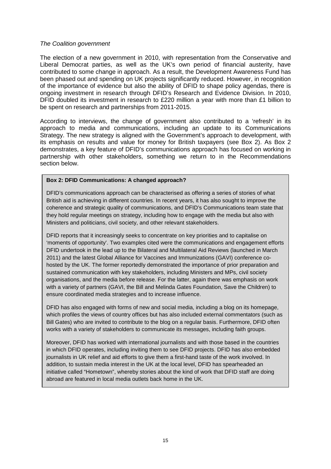#### *The Coalition government*

The election of a new government in 2010, with representation from the Conservative and Liberal Democrat parties, as well as the UK's own period of financial austerity, have contributed to some change in approach. As a result, the Development Awareness Fund has been phased out and spending on UK projects significantly reduced. However, in recognition of the importance of evidence but also the ability of DFID to shape policy agendas, there is ongoing investment in research through DFID's Research and Evidence Division. In 2010, DFID doubled its investment in research to £220 million a year with more than £1 billion to be spent on research and partnerships from 2011-2015.

According to interviews, the change of government also contributed to a 'refresh' in its approach to media and communications, including an update to its Communications Strategy. The new strategy is aligned with the Government's approach to development, with its emphasis on results and value for money for British taxpayers (see Box 2). As Box 2 demonstrates, a key feature of DFID's communications approach has focused on working in partnership with other stakeholders, something we return to in the Recommendations section below.

#### **Box 2: DFID Communications: A changed approach?**

DFID's communications approach can be characterised as offering a series of stories of what British aid is achieving in different countries. In recent years, it has also sought to improve the coherence and strategic quality of communications, and DFID's Communications team state that they hold regular meetings on strategy, including how to engage with the media but also with Ministers and politicians, civil society, and other relevant stakeholders.

DFID reports that it increasingly seeks to concentrate on key priorities and to capitalise on 'moments of opportunity'. Two examples cited were the communications and engagement efforts DFID undertook in the lead up to the Bilateral and Multilateral Aid Reviews (launched in March 2011) and the latest Global Alliance for Vaccines and Immunizations (GAVI) conference cohosted by the UK. The former reportedly demonstrated the importance of prior preparation and sustained communication with key stakeholders, including Ministers and MPs, civil society organisations, and the media before release. For the latter, again there was emphasis on work with a variety of partners (GAVI, the Bill and Melinda Gates Foundation, Save the Children) to ensure coordinated media strategies and to increase influence.

DFID has also engaged with forms of new and social media, including a blog on its homepage, which profiles the views of country offices but has also included external commentators (such as Bill Gates) who are invited to contribute to the blog on a regular basis. Furthermore, DFID often works with a variety of stakeholders to communicate its messages, including faith groups.

Moreover, DFID has worked with international journalists and with those based in the countries in which DFID operates, including inviting them to see DFID projects. DFID has also embedded journalists in UK relief and aid efforts to give them a first-hand taste of the work involved. In addition, to sustain media interest in the UK at the local level, DFID has spearheaded an initiative called "Hometown", whereby stories about the kind of work that DFID staff are doing abroad are featured in local media outlets back home in the UK.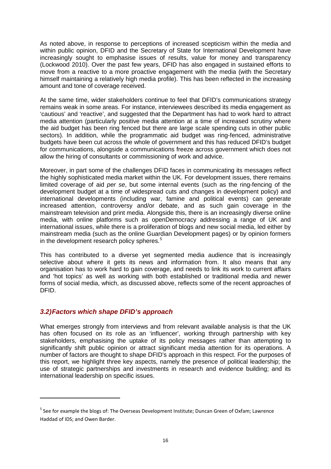As noted above, in response to perceptions of increased scepticism within the media and within public opinion, DFID and the Secretary of State for International Development have increasingly sought to emphasise issues of results, value for money and transparency (Lockwood 2010). Over the past few years, DFID has also engaged in sustained efforts to move from a reactive to a more proactive engagement with the media (with the Secretary himself maintaining a relatively high media profile). This has been reflected in the increasing amount and tone of coverage received.

At the same time, wider stakeholders continue to feel that DFID's communications strategy remains weak in some areas. For instance, interviewees described its media engagement as 'cautious' and 'reactive', and suggested that the Department has had to work hard to attract media attention (particularly positive media attention at a time of increased scrutiny where the aid budget has been ring fenced but there are large scale spending cuts in other public sectors). In addition, while the programmatic aid budget was ring-fenced, administrative budgets have been cut across the whole of government and this has reduced DFID's budget for communications, alongside a communications freeze across government which does not allow the hiring of consultants or commissioning of work and advice.

Moreover, in part some of the challenges DFID faces in communicating its messages reflect the highly sophisticated media market within the UK. For development issues, there remains limited coverage of aid *per se*, but some internal events (such as the ring-fencing of the development budget at a time of widespread cuts and changes in development policy) and international developments (including war, famine and political events) can generate increased attention, controversy and/or debate, and as such gain coverage in the mainstream television and print media. Alongside this, there is an increasingly diverse online media, with online platforms such as openDemocracy addressing a range of UK and international issues, while there is a proliferation of blogs and new social media, led either by mainstream media (such as the online Guardian Development pages) or by opinion formers in the development research policy spheres.<sup>[5](#page-15-1)</sup>

This has contributed to a diverse yet segmented media audience that is increasingly selective about where it gets its news and information from. It also means that any organisation has to work hard to gain coverage, and needs to link its work to current affairs and 'hot topics' as well as working with both established or traditional media and newer forms of social media, which, as discussed above, reflects some of the recent approaches of DFID.

#### <span id="page-15-0"></span>*3.2)Factors which shape DFID's approach*

**.** 

What emerges strongly from interviews and from relevant available analysis is that the UK has often focused on its role as an 'influencer', working through partnership with key stakeholders, emphasising the uptake of its policy messages rather than attempting to significantly shift public opinion or attract significant media attention for its operations. A number of factors are thought to shape DFID's approach in this respect. For the purposes of this report, we highlight three key aspects, namely the presence of political leadership; the use of strategic partnerships and investments in research and evidence building; and its international leadership on specific issues.

<span id="page-15-1"></span><sup>&</sup>lt;sup>5</sup> See for example the blogs of: The Overseas Development Institute; Duncan Green of Oxfam; Lawrence Haddad of IDS; and Owen Barder.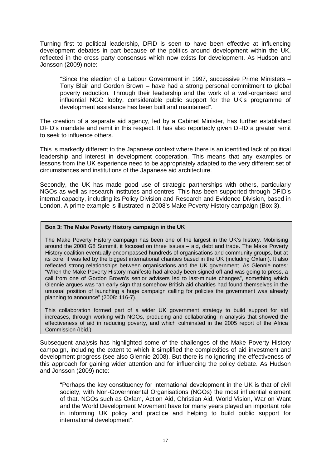Turning first to political leadership, DFID is seen to have been effective at influencing development debates in part because of the politics around development within the UK, reflected in the cross party consensus which now exists for development. As Hudson and Jonsson (2009) note:

"Since the election of a Labour Government in 1997, successive Prime Ministers – Tony Blair and Gordon Brown – have had a strong personal commitment to global poverty reduction. Through their leadership and the work of a well-organised and influential NGO lobby, considerable public support for the UK's programme of development assistance has been built and maintained".

The creation of a separate aid agency, led by a Cabinet Minister, has further established DFID's mandate and remit in this respect. It has also reportedly given DFID a greater remit to seek to influence others.

This is markedly different to the Japanese context where there is an identified lack of political leadership and interest in development cooperation. This means that any examples or lessons from the UK experience need to be appropriately adapted to the very different set of circumstances and institutions of the Japanese aid architecture.

Secondly, the UK has made good use of strategic partnerships with others, particularly NGOs as well as research institutes and centres. This has been supported through DFID's internal capacity, including its Policy Division and Research and Evidence Division, based in London. A prime example is illustrated in 2008's Make Poverty History campaign (Box 3).

#### **Box 3: The Make Poverty History campaign in the UK**

The Make Poverty History campaign has been one of the largest in the UK's history. Mobilising around the 2008 G8 Summit, it focused on three issues – aid, debt and trade. The Make Poverty History coalition eventually encompassed hundreds of organisations and community groups, but at its core, it was led by the biggest international charities based in the UK (including Oxfam). It also reflected strong relationships between organisations and the UK government. As Glennie notes: "When the Make Poverty History manifesto had already been signed off and was going to press, a call from one of Gordon Brown's senior advisers led to last-minute changes", something which Glennie argues was "an early sign that somehow British aid charities had found themselves in the unusual position of launching a huge campaign calling for policies the government was already planning to announce" (2008: 116-7).

This collaboration formed part of a wider UK government strategy to build support for aid increases, through working with NGOs, producing and collaborating in analysis that showed the effectiveness of aid in reducing poverty, and which culminated in the 2005 report of the Africa Commission (Ibid.)

Subsequent analysis has highlighted some of the challenges of the Make Poverty History campaign, including the extent to which it simplified the complexities of aid investment and development progress (see also Glennie 2008). But there is no ignoring the effectiveness of this approach for gaining wider attention and for influencing the policy debate. As Hudson and Jonsson (2009) note:

"Perhaps the key constituency for international development in the UK is that of civil society, with Non-Governmental Organisations (NGOs) the most influential element of that. NGOs such as Oxfam, Action Aid, Christian Aid, World Vision, War on Want and the World Development Movement have for many years played an important role in informing UK policy and practice and helping to build public support for international development".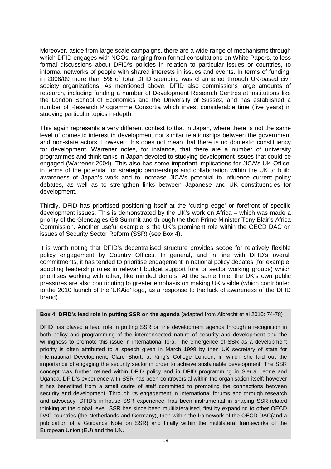Moreover, aside from large scale campaigns, there are a wide range of mechanisms through which DFID engages with NGOs, ranging from formal consultations on White Papers, to less formal discussions about DFID's policies in relation to particular issues or countries, to informal networks of people with shared interests in issues and events. In terms of funding, in 2008/09 more than 5% of total DFID spending was channelled through UK-based civil society organizations. As mentioned above, DFID also commissions large amounts of research, including funding a number of Development Research Centres at institutions like the London School of Economics and the University of Sussex, and has established a number of Research Programme Consortia which invest considerable time (five years) in studying particular topics in-depth.

This again represents a very different context to that in Japan, where there is not the same level of domestic interest in development nor similar relationships between the government and non-state actors. However, this does not mean that there is no domestic constituency for development. Warrener notes, for instance, that there are a number of university programmes and think tanks in Japan devoted to studying development issues that could be engaged (Warrener 2004). This also has some important implications for JICA's UK Office, in terms of the potential for strategic partnerships and collaboration within the UK to build awareness of Japan's work and to increase JICA's potential to influence current policy debates, as well as to strengthen links between Japanese and UK constituencies for development.

Thirdly, DFID has prioritised positioning itself at the 'cutting edge' or forefront of specific development issues. This is demonstrated by the UK's work on Africa – which was made a priority of the Gleneagles G8 Summit and through the then Prime Minister Tony Blair's Africa Commission. Another useful example is the UK's prominent role within the OECD DAC on issues of Security Sector Reform (SSR) (see Box 4).

It is worth noting that DFID's decentralised structure provides scope for relatively flexible policy engagement by Country Offices. In general, and in line with DFID's overall commitments, it has tended to prioritise engagement in national policy debates (for example, adopting leadership roles in relevant budget support fora or sector working groups) which prioritises working with other, like minded donors. At the same time, the UK's own public pressures are also contributing to greater emphasis on making UK visible (which contributed to the 2010 launch of the 'UKAid' logo, as a response to the lack of awareness of the DFID brand).

**Box 4: DFID's lead role in putting SSR on the agenda** (adapted from Albrecht et al 2010: 74-78)

DFID has played a lead role in putting SSR on the development agenda through a recognition in both policy and programming of the interconnected nature of security and development and the willingness to promote this issue in international fora. The emergence of SSR as a development priority is often attributed to a speech given in March 1999 by then UK secretary of state for International Development, Clare Short, at King's College London, in which she laid out the importance of engaging the security sector in order to achieve sustainable development. The SSR concept was further refined within DFID policy and in DFID programming in Sierra Leone and Uganda. DFID's experience with SSR has been controversial within the organisation itself; however it has benefitted from a small cadre of staff committed to promoting the connections between security and development. Through its engagement in international forums and through research and advocacy, DFID's in-house SSR experience, has been instrumental in shaping SSR-related thinking at the global level. SSR has since been multilateralised, first by expanding to other OECD DAC countries (the Netherlands and Germany), then within the framework of the OECD DAC(and a publication of a Guidance Note on SSR) and finally within the multilateral frameworks of the European Union (EU) and the UN.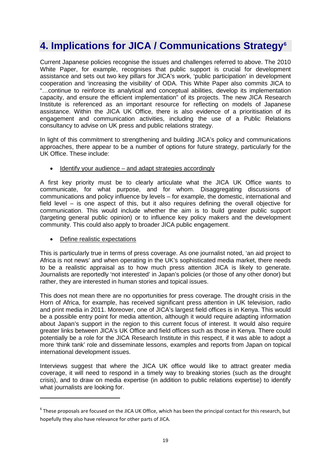## <span id="page-18-0"></span>**4. Implications for JICA / Communications Strategy[6](#page-18-1)**

Current Japanese policies recognise the issues and challenges referred to above. The 2010 White Paper, for example, recognises that public support is crucial for development assistance and sets out two key pillars for JICA's work, 'public participation' in development cooperation and 'increasing the visibility' of ODA. This White Paper also commits JICA to "…continue to reinforce its analytical and conceptual abilities, develop its implementation capacity, and ensure the efficient implementation" of its projects. The new JICA Research Institute is referenced as an important resource for reflecting on models of Japanese assistance. Within the JICA UK Office, there is also evidence of a prioritisation of its engagement and communication activities, including the use of a Public Relations consultancy to advise on UK press and public relations strategy.

In light of this commitment to strengthening and building JICA's policy and communications approaches, there appear to be a number of options for future strategy, particularly for the UK Office. These include:

• Identify your audience – and adapt strategies accordingly

A first key priority must be to clearly articulate what the JICA UK Office wants to communicate, for what purpose, and for whom. Disaggregating discussions of communications and policy influence by levels – for example, the domestic, international and field level – is one aspect of this, but it also requires defining the overall objective for communication. This would include whether the aim is to build greater public support (targeting general public opinion) or to influence key policy makers and the development community. This could also apply to broader JICA public engagement.

• Define realistic expectations

**.** 

This is particularly true in terms of press coverage. As one journalist noted, 'an aid project to Africa is not news' and when operating in the UK's sophisticated media market, there needs to be a realistic appraisal as to how much press attention JICA is likely to generate. Journalists are reportedly 'not interested' in Japan's policies (or those of any other donor) but rather, they are interested in human stories and topical issues.

This does not mean there are no opportunities for press coverage. The drought crisis in the Horn of Africa, for example, has received significant press attention in UK television, radio and print media in 2011. Moreover, one of JICA's largest field offices is in Kenya. This would be a possible entry point for media attention, although it would require adapting information about Japan's support in the region to this current focus of interest. It would also require greater links between JICA's UK Office and field offices such as those in Kenya. There could potentially be a role for the JICA Research Institute in this respect, if it was able to adopt a more 'think tank' role and disseminate lessons, examples and reports from Japan on topical international development issues.

Interviews suggest that where the JICA UK office would like to attract greater media coverage, it will need to respond in a timely way to breaking stories (such as the drought crisis), and to draw on media expertise (in addition to public relations expertise) to identify what journalists are looking for.

<span id="page-18-1"></span> $6$  These proposals are focused on the JICA UK Office, which has been the principal contact for this research, but hopefully they also have relevance for other parts of JICA.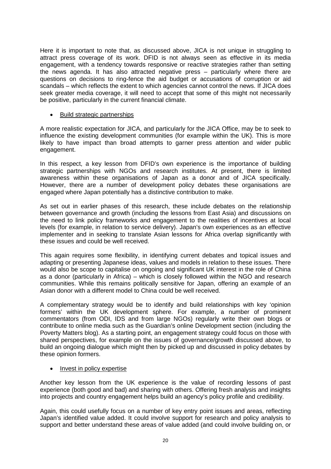Here it is important to note that, as discussed above, JICA is not unique in struggling to attract press coverage of its work. DFID is not always seen as effective in its media engagement, with a tendency towards responsive or reactive strategies rather than setting the news agenda. It has also attracted negative press – particularly where there are questions on decisions to ring-fence the aid budget or accusations of corruption or aid scandals – which reflects the extent to which agencies cannot control the news. If JICA does seek greater media coverage, it will need to accept that some of this might not necessarily be positive, particularly in the current financial climate.

#### • Build strategic partnerships

A more realistic expectation for JICA, and particularly for the JICA Office, may be to seek to influence the existing development communities (for example within the UK). This is more likely to have impact than broad attempts to garner press attention and wider public engagement.

In this respect, a key lesson from DFID's own experience is the importance of building strategic partnerships with NGOs and research institutes. At present, there is limited awareness within these organisations of Japan as a donor and of JICA specifically. However, there are a number of development policy debates these organisations are engaged where Japan potentially has a distinctive contribution to make.

As set out in earlier phases of this research, these include debates on the relationship between governance and growth (including the lessons from East Asia) and discussions on the need to link policy frameworks and engagement to the realities of incentives at local levels (for example, in relation to service delivery). Japan's own experiences as an effective implementer and in seeking to translate Asian lessons for Africa overlap significantly with these issues and could be well received.

This again requires some flexibility, in identifying current debates and topical issues and adapting or presenting Japanese ideas, values and models in relation to these issues. There would also be scope to capitalise on ongoing and significant UK interest in the role of China as a donor (particularly in Africa) – which is closely followed within the NGO and research communities. While this remains politically sensitive for Japan, offering an example of an Asian donor with a different model to China could be well received.

A complementary strategy would be to identify and build relationships with key 'opinion formers' within the UK development sphere. For example, a number of prominent commentators (from ODI, IDS and from large NGOs) regularly write their own blogs or contribute to online media such as the Guardian's online Development section (including the Poverty Matters blog). As a starting point, an engagement strategy could focus on those with shared perspectives, for example on the issues of governance/growth discussed above, to build an ongoing dialogue which might then by picked up and discussed in policy debates by these opinion formers.

#### • Invest in policy expertise

Another key lesson from the UK experience is the value of recording lessons of past experience (both good and bad) and sharing with others. Offering fresh analysis and insights into projects and country engagement helps build an agency's policy profile and credibility.

Again, this could usefully focus on a number of key entry point issues and areas, reflecting Japan's identified value added. It could involve support for research and policy analysis to support and better understand these areas of value added (and could involve building on, or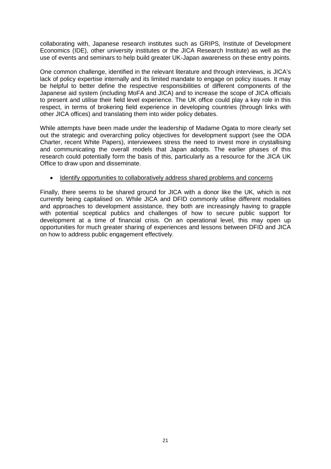collaborating with, Japanese research institutes such as GRIPS, Institute of Development Economics (IDE), other university institutes or the JICA Research Institute) as well as the use of events and seminars to help build greater UK-Japan awareness on these entry points.

One common challenge, identified in the relevant literature and through interviews, is JICA's lack of policy expertise internally and its limited mandate to engage on policy issues. It may be helpful to better define the respective responsibilities of different components of the Japanese aid system (including MoFA and JICA) and to increase the scope of JICA officials to present and utilise their field level experience. The UK office could play a key role in this respect, in terms of brokering field experience in developing countries (through links with other JICA offices) and translating them into wider policy debates.

While attempts have been made under the leadership of Madame Ogata to more clearly set out the strategic and overarching policy objectives for development support (see the ODA Charter, recent White Papers), interviewees stress the need to invest more in crystallising and communicating the overall models that Japan adopts. The earlier phases of this research could potentially form the basis of this, particularly as a resource for the JICA UK Office to draw upon and disseminate.

#### • Identify opportunities to collaboratively address shared problems and concerns

Finally, there seems to be shared ground for JICA with a donor like the UK, which is not currently being capitalised on. While JICA and DFID commonly utilise different modalities and approaches to development assistance, they both are increasingly having to grapple with potential sceptical publics and challenges of how to secure public support for development at a time of financial crisis. On an operational level, this may open up opportunities for much greater sharing of experiences and lessons between DFID and JICA on how to address public engagement effectively.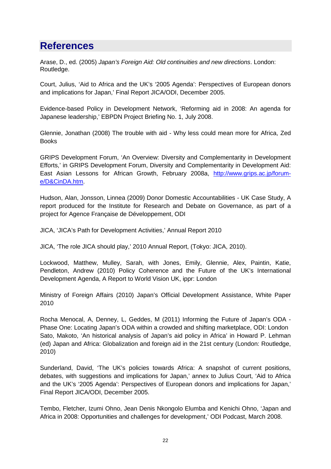## <span id="page-21-0"></span>**References**

Arase, D., ed. (2005) *Japan's Foreign Aid: Old continuities and new directions*. London: Routledge.

Court, Julius, 'Aid to Africa and the UK's '2005 Agenda': Perspectives of European donors and implications for Japan,' Final Report JICA/ODI, December 2005.

Evidence-based Policy in Development Network, 'Reforming aid in 2008: An agenda for Japanese leadership,' EBPDN Project Briefing No. 1, July 2008.

Glennie, Jonathan (2008) The trouble with aid - Why less could mean more for Africa, Zed **Books** 

GRIPS Development Forum, 'An Overview: Diversity and Complementarity in Development Efforts,' in GRIPS Development Forum, Diversity and Complementarity in Development Aid: East Asian Lessons for African Growth, February 2008a, [http://www.grips.ac.jp/forum](http://www.grips.ac.jp/forum-e/D&CinDA.htm)[e/D&CinDA.htm.](http://www.grips.ac.jp/forum-e/D&CinDA.htm)

Hudson, Alan, Jonsson, Linnea (2009) Donor Domestic Accountabilities - UK Case Study, A report produced for the Institute for Research and Debate on Governance, as part of a project for Agence Française de Développement, ODI

JICA, 'JICA's Path for Development Activities,' Annual Report 2010

JICA, 'The role JICA should play,' 2010 Annual Report, (Tokyo: JICA, 2010).

Lockwood, Matthew, Mulley, Sarah, with Jones, Emily, Glennie, Alex, Paintin, Katie, Pendleton, Andrew (2010) Policy Coherence and the Future of the UK's International Development Agenda, A Report to World Vision UK, ippr: London

Ministry of Foreign Affairs (2010) Japan's Official Development Assistance, White Paper 2010

Rocha Menocal, A, Denney, L, Geddes, M (2011) Informing the Future of Japan's ODA - Phase One: Locating Japan's ODA within a crowded and shifting marketplace, ODI: London Sato, Makoto, 'An historical analysis of Japan's aid policy in Africa' in Howard P. Lehman (ed) Japan and Africa: Globalization and foreign aid in the 21st century (London: Routledge, 2010)

Sunderland, David, 'The UK's policies towards Africa: A snapshot of current positions, debates, with suggestions and implications for Japan,' annex to Julius Court, 'Aid to Africa and the UK's '2005 Agenda': Perspectives of European donors and implications for Japan,' Final Report JICA/ODI, December 2005.

Tembo, Fletcher, Izumi Ohno, Jean Denis Nkongolo Elumba and Kenichi Ohno, 'Japan and Africa in 2008: Opportunities and challenges for development,' ODI Podcast, March 2008.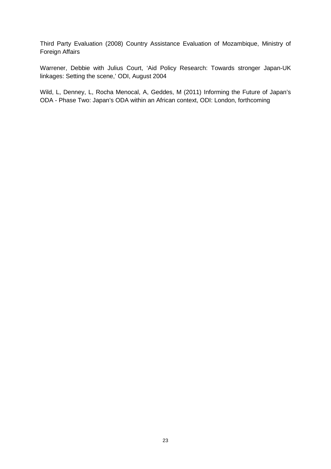Third Party Evaluation (2008) Country Assistance Evaluation of Mozambique, Ministry of Foreign Affairs

Warrener, Debbie with Julius Court, 'Aid Policy Research: Towards stronger Japan-UK linkages: Setting the scene,' ODI, August 2004

Wild, L, Denney, L, Rocha Menocal, A, Geddes, M (2011) Informing the Future of Japan's ODA - Phase Two: Japan's ODA within an African context, ODI: London, forthcoming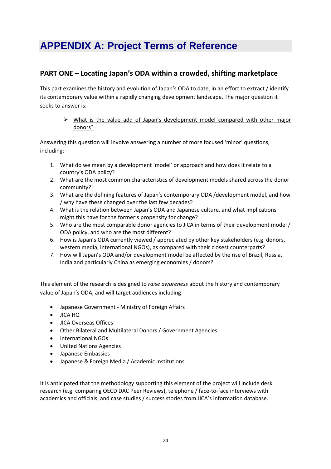## <span id="page-23-0"></span>**APPENDIX A: Project Terms of Reference**

#### **PART ONE – Locating Japan's ODA within a crowded, shifting marketplace**

This part examines the history and evolution of Japan's ODA to date, in an effort to extract / identify its contemporary value within a rapidly changing development landscape. The major question it seeks to answer is:

 $\triangleright$  What is the value add of Japan's development model compared with other major donors?

Answering this question will involve answering a number of more focused 'minor' questions, including:

- 1. What do we mean by a development 'model' or approach and how does it relate to a country's ODA policy?
- 2. What are the most common characteristics of development models shared across the donor community?
- 3. What are the defining features of Japan's contemporary ODA /development model, and how / why have these changed over the last few decades?
- 4. What is the relation between Japan's ODA and Japanese culture, and what implications might this have for the former's propensity for change?
- 5. Who are the most comparable donor agencies to JICA in terms of their development model / ODA policy, and who are the most different?
- 6. How is Japan's ODA currently viewed / appreciated by other key stakeholders (e.g. donors, western media, international NGOs), as compared with their closest counterparts?
- 7. How will Japan's ODA and/or development model be affected by the rise of Brazil, Russia, India and particularly China as emerging economies / donors?

This element of the research is designed to *raise awareness* about the history and contemporary value of Japan's ODA, and will target audiences including:

- Japanese Government Ministry of Foreign Affairs
- JICA HQ
- JICA Overseas Offices
- Other Bilateral and Multilateral Donors / Government Agencies
- International NGOs
- United Nations Agencies
- Japanese Embassies
- Japanese & Foreign Media / Academic Institutions

It is anticipated that the methodology supporting this element of the project will include desk research (e.g. comparing OECD DAC Peer Reviews), telephone / face-to-face interviews with academics and officials, and case studies / success stories from JICA's information database.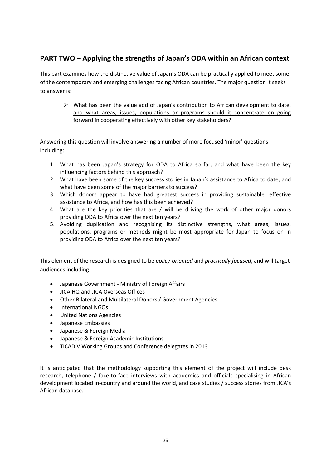#### **PART TWO – Applying the strengths of Japan's ODA within an African context**

This part examines how the distinctive value of Japan's ODA can be practically applied to meet some of the contemporary and emerging challenges facing African countries. The major question it seeks to answer is:

 $\triangleright$  What has been the value add of Japan's contribution to African development to date, and what areas, issues, populations or programs should it concentrate on going forward in cooperating effectively with other key stakeholders?

Answering this question will involve answering a number of more focused 'minor' questions, including:

- 1. What has been Japan's strategy for ODA to Africa so far, and what have been the key influencing factors behind this approach?
- 2. What have been some of the key success stories in Japan's assistance to Africa to date, and what have been some of the major barriers to success?
- 3. Which donors appear to have had greatest success in providing sustainable, effective assistance to Africa, and how has this been achieved?
- 4. What are the key priorities that are / will be driving the work of other major donors providing ODA to Africa over the next ten years?
- 5. Avoiding duplication and recognising its distinctive strengths, what areas, issues, populations, programs or methods might be most appropriate for Japan to focus on in providing ODA to Africa over the next ten years?

This element of the research is designed to be *policy-oriented* and *practically focused*, and will target audiences including:

- Japanese Government Ministry of Foreign Affairs
- JICA HQ and JICA Overseas Offices
- Other Bilateral and Multilateral Donors / Government Agencies
- International NGOs
- United Nations Agencies
- Japanese Embassies
- Japanese & Foreign Media
- Japanese & Foreign Academic Institutions
- TICAD V Working Groups and Conference delegates in 2013

It is anticipated that the methodology supporting this element of the project will include desk research, telephone / face-to-face interviews with academics and officials specialising in African development located in-country and around the world, and case studies / success stories from JICA's African database.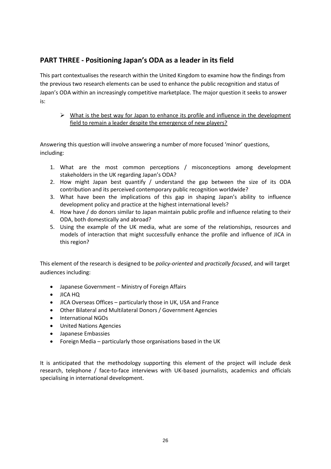#### **PART THREE - Positioning Japan's ODA as a leader in its field**

This part contextualises the research within the United Kingdom to examine how the findings from the previous two research elements can be used to enhance the public recognition and status of Japan's ODA within an increasingly competitive marketplace. The major question it seeks to answer is:

#### $\triangleright$  What is the best way for Japan to enhance its profile and influence in the development field to remain a leader despite the emergence of new players?

Answering this question will involve answering a number of more focused 'minor' questions, including:

- 1. What are the most common perceptions / misconceptions among development stakeholders in the UK regarding Japan's ODA?
- 2. How might Japan best quantify / understand the gap between the size of its ODA contribution and its perceived contemporary public recognition worldwide?
- 3. What have been the implications of this gap in shaping Japan's ability to influence development policy and practice at the highest international levels?
- 4. How have / do donors similar to Japan maintain public profile and influence relating to their ODA, both domestically and abroad?
- 5. Using the example of the UK media, what are some of the relationships, resources and models of interaction that might successfully enhance the profile and influence of JICA in this region?

This element of the research is designed to be *policy-oriented* and *practically focused*, and will target audiences including:

- Japanese Government Ministry of Foreign Affairs
- JICA HQ
- JICA Overseas Offices particularly those in UK, USA and France
- Other Bilateral and Multilateral Donors / Government Agencies
- International NGOs
- United Nations Agencies
- Japanese Embassies
- Foreign Media particularly those organisations based in the UK

It is anticipated that the methodology supporting this element of the project will include desk research, telephone / face-to-face interviews with UK-based journalists, academics and officials specialising in international development.